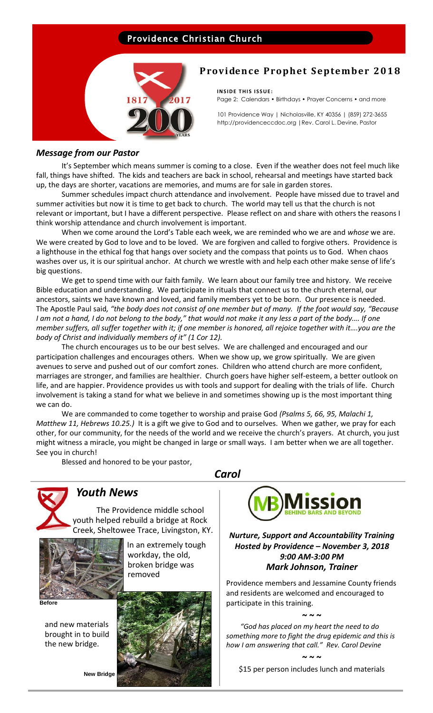## Providence Christian Church



## **Providence Prophet September 2018**

**INSIDE THIS ISSUE:** Page 2: Calendars • Birthdays • Prayer Concerns • and more

101 Providence Way | Nicholasville, KY 40356 | (859) 272-3655 http://providenceccdoc.org |Rev. Carol L. Devine, Pastor

#### *Message from our Pastor*

It's September which means summer is coming to a close. Even if the weather does not feel much like fall, things have shifted. The kids and teachers are back in school, rehearsal and meetings have started back up, the days are shorter, vacations are memories, and mums are for sale in garden stores.

Summer schedules impact church attendance and involvement. People have missed due to travel and summer activities but now it is time to get back to church. The world may tell us that the church is not relevant or important, but I have a different perspective. Please reflect on and share with others the reasons I think worship attendance and church involvement is important.

When we come around the Lord's Table each week, we are reminded who we are and *whose* we are. We were created by God to love and to be loved. We are forgiven and called to forgive others. Providence is a lighthouse in the ethical fog that hangs over society and the compass that points us to God. When chaos washes over us, it is our spiritual anchor. At church we wrestle with and help each other make sense of life's big questions.

We get to spend time with our faith family. We learn about our family tree and history. We receive Bible education and understanding. We participate in rituals that connect us to the church eternal, our ancestors, saints we have known and loved, and family members yet to be born. Our presence is needed. The Apostle Paul said*, "the body does not consist of one member but of many. If the foot would say, "Because I am not a hand, I do not belong to the body," that would not make it any less a part of the body…. If one member suffers, all suffer together with it; if one member is honored, all rejoice together with it….you are the body of Christ and individually members of it" (1 Cor 12).*

The church encourages us to be our best selves. We are challenged and encouraged and our participation challenges and encourages others. When we show up, we grow spiritually. We are given avenues to serve and pushed out of our comfort zones. Children who attend church are more confident, marriages are stronger, and families are healthier. Church goers have higher self-esteem, a better outlook on life, and are happier. Providence provides us with tools and support for dealing with the trials of life. Church involvement is taking a stand for what we believe in and sometimes showing up is the most important thing we can do.

We are commanded to come together to worship and praise God *(Psalms 5, 66, 95, Malachi 1, Matthew 11, Hebrews 10.25.)* It is a gift we give to God and to ourselves. When we gather, we pray for each other, for our community, for the needs of the world and we receive the church's prayers. At church, you just might witness a miracle, you might be changed in large or small ways. I am better when we are all together. See you in church!

*Carol*

Blessed and honored to be your pastor,



# *Youth News*

 The Providence middle school youth helped rebuild a bridge at Rock Creek, Sheltowee Trace, Livingston, KY.



 In an extremely tough workday, the old, broken bridge was removed

**Before**

 and new materials brought in to build the new bridge.





*Nurture, Support and Accountability Training Hosted by Providence – November 3, 2018 9:00 AM-3:00 PM Mark Johnson, Trainer*

Providence members and Jessamine County friends and residents are welcomed and encouraged to participate in this training.

**~ ~ ~**

 *"God has placed on my heart the need to do something more to fight the drug epidemic and this is how I am answering that call." Rev. Carol Devine*

**~ ~ ~**

\$15 per person includes lunch and materials

**New Bridge**